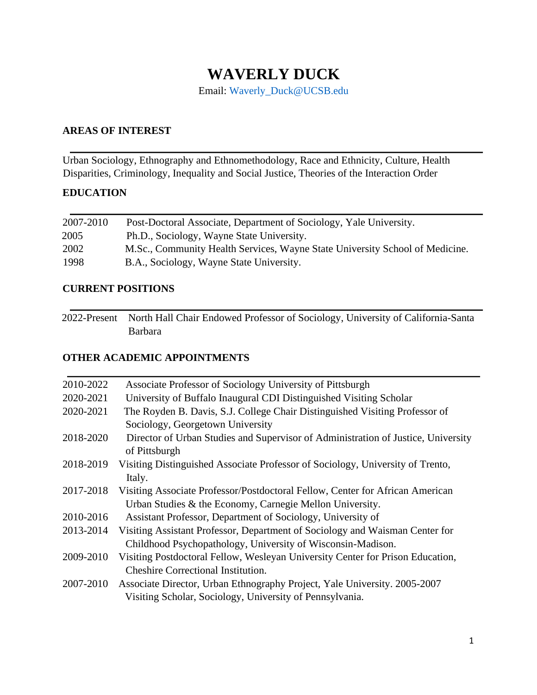# **WAVERLY DUCK**

Email: Waverly\_Duck@UCSB.edu

## **AREAS OF INTEREST**

Urban Sociology, Ethnography and Ethnomethodology, Race and Ethnicity, Culture, Health Disparities, Criminology, Inequality and Social Justice, Theories of the Interaction Order

## **EDUCATION**

| 2007-2010 | Post-Doctoral Associate, Department of Sociology, Yale University.           |
|-----------|------------------------------------------------------------------------------|
| 2005      | Ph.D., Sociology, Wayne State University.                                    |
| 2002      | M.Sc., Community Health Services, Wayne State University School of Medicine. |
| 1998      | B.A., Sociology, Wayne State University.                                     |

#### **CURRENT POSITIONS**

2022-Present North Hall Chair Endowed Professor of Sociology, University of California-Santa Barbara

## **OTHER ACADEMIC APPOINTMENTS**

| 2010-2022 | Associate Professor of Sociology University of Pittsburgh                                          |
|-----------|----------------------------------------------------------------------------------------------------|
| 2020-2021 | University of Buffalo Inaugural CDI Distinguished Visiting Scholar                                 |
| 2020-2021 | The Royden B. Davis, S.J. College Chair Distinguished Visiting Professor of                        |
|           | Sociology, Georgetown University                                                                   |
| 2018-2020 | Director of Urban Studies and Supervisor of Administration of Justice, University<br>of Pittsburgh |
| 2018-2019 | Visiting Distinguished Associate Professor of Sociology, University of Trento,                     |
|           | Italy.                                                                                             |
| 2017-2018 | Visiting Associate Professor/Postdoctoral Fellow, Center for African American                      |
|           | Urban Studies & the Economy, Carnegie Mellon University.                                           |
| 2010-2016 | Assistant Professor, Department of Sociology, University of                                        |
| 2013-2014 | Visiting Assistant Professor, Department of Sociology and Waisman Center for                       |
|           | Childhood Psychopathology, University of Wisconsin-Madison.                                        |
| 2009-2010 | Visiting Postdoctoral Fellow, Wesleyan University Center for Prison Education,                     |
|           | <b>Cheshire Correctional Institution.</b>                                                          |
| 2007-2010 | Associate Director, Urban Ethnography Project, Yale University. 2005-2007                          |
|           | Visiting Scholar, Sociology, University of Pennsylvania.                                           |
|           |                                                                                                    |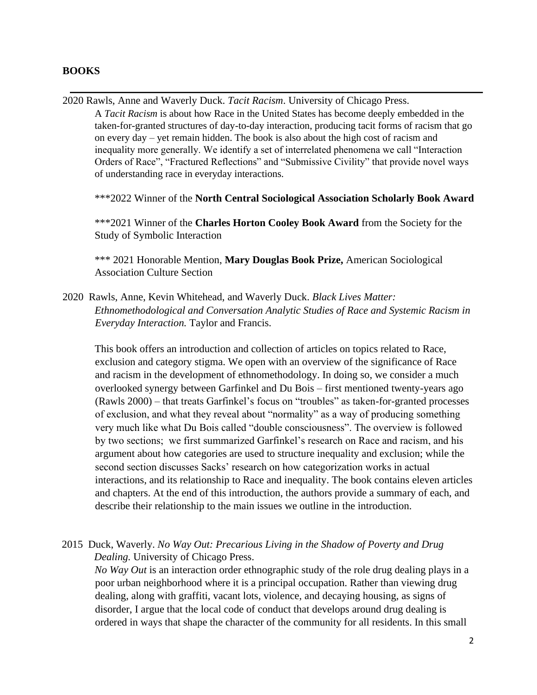#### **BOOKS**

2020 Rawls, Anne and Waverly Duck. *Tacit Racism*. University of Chicago Press. A *Tacit Racism* is about how Race in the United States has become deeply embedded in the taken-for-granted structures of day-to-day interaction, producing tacit forms of racism that go on every day – yet remain hidden. The book is also about the high cost of racism and inequality more generally. We identify a set of interrelated phenomena we call "Interaction Orders of Race", "Fractured Reflections" and "Submissive Civility" that provide novel ways of understanding race in everyday interactions.

\*\*\*2022 Winner of the **North Central Sociological Association Scholarly Book Award**

\*\*\*2021 Winner of the **Charles Horton Cooley Book Award** from the Society for the Study of Symbolic Interaction

\*\*\* 2021 Honorable Mention, **Mary Douglas Book Prize,** American Sociological Association Culture Section

2020 Rawls, Anne, Kevin Whitehead, and Waverly Duck. *Black Lives Matter: Ethnomethodological and Conversation Analytic Studies of Race and Systemic Racism in Everyday Interaction.* Taylor and Francis.

This book offers an introduction and collection of articles on topics related to Race, exclusion and category stigma. We open with an overview of the significance of Race and racism in the development of ethnomethodology. In doing so, we consider a much overlooked synergy between Garfinkel and Du Bois – first mentioned twenty-years ago (Rawls 2000) – that treats Garfinkel's focus on "troubles" as taken-for-granted processes of exclusion, and what they reveal about "normality" as a way of producing something very much like what Du Bois called "double consciousness". The overview is followed by two sections; we first summarized Garfinkel's research on Race and racism, and his argument about how categories are used to structure inequality and exclusion; while the second section discusses Sacks' research on how categorization works in actual interactions, and its relationship to Race and inequality. The book contains eleven articles and chapters. At the end of this introduction, the authors provide a summary of each, and describe their relationship to the main issues we outline in the introduction.

# 2015 Duck, Waverly. *No Way Out: Precarious Living in the Shadow of Poverty and Drug Dealing.* University of Chicago Press.

*No Way Out* is an interaction order ethnographic study of the role drug dealing plays in a poor urban neighborhood where it is a principal occupation. Rather than viewing drug dealing, along with graffiti, vacant lots, violence, and decaying housing, as signs of disorder, I argue that the local code of conduct that develops around drug dealing is ordered in ways that shape the character of the community for all residents. In this small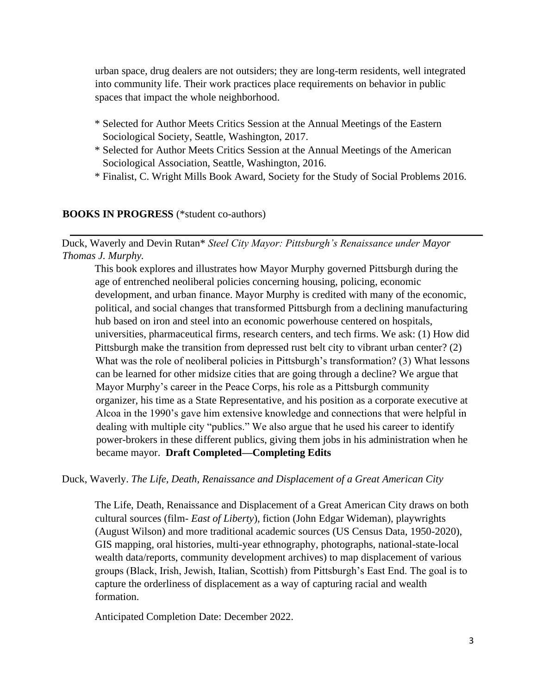urban space, drug dealers are not outsiders; they are long-term residents, well integrated into community life. Their work practices place requirements on behavior in public spaces that impact the whole neighborhood.

- \* Selected for Author Meets Critics Session at the Annual Meetings of the Eastern Sociological Society, Seattle, Washington, 2017.
- \* Selected for Author Meets Critics Session at the Annual Meetings of the American Sociological Association, Seattle, Washington, 2016.
- \* Finalist, C. Wright Mills Book Award, Society for the Study of Social Problems 2016.

#### **BOOKS IN PROGRESS** (\*student co-authors)

Duck, Waverly and Devin Rutan\* *Steel City Mayor: Pittsburgh's Renaissance under Mayor Thomas J. Murphy.* 

This book explores and illustrates how Mayor Murphy governed Pittsburgh during the age of entrenched neoliberal policies concerning housing, policing, economic development, and urban finance. Mayor Murphy is credited with many of the economic, political, and social changes that transformed Pittsburgh from a declining manufacturing hub based on iron and steel into an economic powerhouse centered on hospitals, universities, pharmaceutical firms, research centers, and tech firms. We ask: (1) How did Pittsburgh make the transition from depressed rust belt city to vibrant urban center? (2) What was the role of neoliberal policies in Pittsburgh's transformation? (3) What lessons can be learned for other midsize cities that are going through a decline? We argue that Mayor Murphy's career in the Peace Corps, his role as a Pittsburgh community organizer, his time as a State Representative, and his position as a corporate executive at Alcoa in the 1990's gave him extensive knowledge and connections that were helpful in dealing with multiple city "publics." We also argue that he used his career to identify power-brokers in these different publics, giving them jobs in his administration when he became mayor. **Draft Completed—Completing Edits** 

Duck, Waverly. *The Life, Death, Renaissance and Displacement of a Great American City* 

The Life, Death, Renaissance and Displacement of a Great American City draws on both cultural sources (film- *East of Liberty*), fiction (John Edgar Wideman), playwrights (August Wilson) and more traditional academic sources (US Census Data, 1950-2020), GIS mapping, oral histories, multi-year ethnography, photographs, national-state-local wealth data/reports, community development archives) to map displacement of various groups (Black, Irish, Jewish, Italian, Scottish) from Pittsburgh's East End. The goal is to capture the orderliness of displacement as a way of capturing racial and wealth formation.

Anticipated Completion Date: December 2022.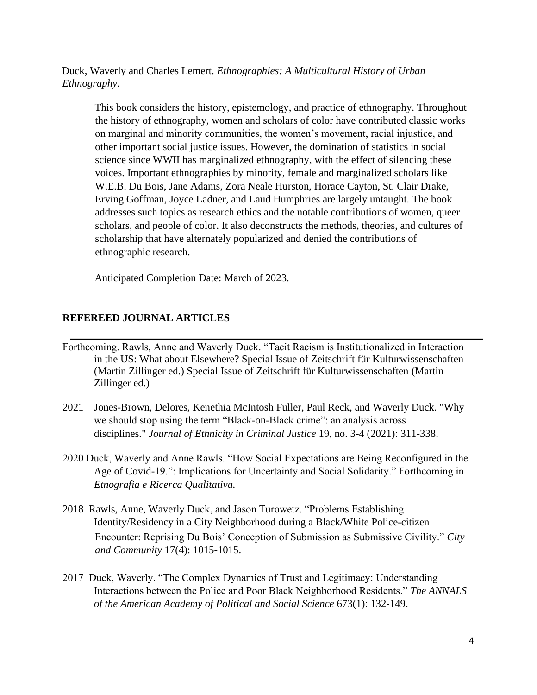Duck, Waverly and Charles Lemert. *Ethnographies: A Multicultural History of Urban Ethnography*.

This book considers the history, epistemology, and practice of ethnography. Throughout the history of ethnography, women and scholars of color have contributed classic works on marginal and minority communities, the women's movement, racial injustice, and other important social justice issues. However, the domination of statistics in social science since WWII has marginalized ethnography, with the effect of silencing these voices. Important ethnographies by minority, female and marginalized scholars like W.E.B. Du Bois, Jane Adams, Zora Neale Hurston, Horace Cayton, St. Clair Drake, Erving Goffman, Joyce Ladner, and Laud Humphries are largely untaught. The book addresses such topics as research ethics and the notable contributions of women, queer scholars, and people of color. It also deconstructs the methods, theories, and cultures of scholarship that have alternately popularized and denied the contributions of ethnographic research.

Anticipated Completion Date: March of 2023.

#### **REFEREED JOURNAL ARTICLES**

- Forthcoming. Rawls, Anne and Waverly Duck. "Tacit Racism is Institutionalized in Interaction in the US: What about Elsewhere? Special Issue of Zeitschrift für Kulturwissenschaften (Martin Zillinger ed.) Special Issue of Zeitschrift für Kulturwissenschaften (Martin Zillinger ed.)
- 2021 Jones-Brown, Delores, Kenethia McIntosh Fuller, Paul Reck, and Waverly Duck. "Why we should stop using the term "Black-on-Black crime": an analysis across disciplines." *Journal of Ethnicity in Criminal Justice* 19, no. 3-4 (2021): 311-338.
- 2020 Duck, Waverly and Anne Rawls. "How Social Expectations are Being Reconfigured in the Age of Covid-19.": Implications for Uncertainty and Social Solidarity." Forthcoming in *Etnografia e Ricerca Qualitativa.*
- 2018 Rawls, Anne, Waverly Duck, and Jason Turowetz. "Problems Establishing Identity/Residency in a City Neighborhood during a Black/White Police-citizen Encounter: Reprising Du Bois' Conception of Submission as Submissive Civility." *City and Community* 17(4): 1015-1015.
- 2017 Duck, Waverly. "The Complex Dynamics of Trust and Legitimacy: Understanding Interactions between the Police and Poor Black Neighborhood Residents." *The ANNALS of the American Academy of Political and Social Science* 673(1): 132-149.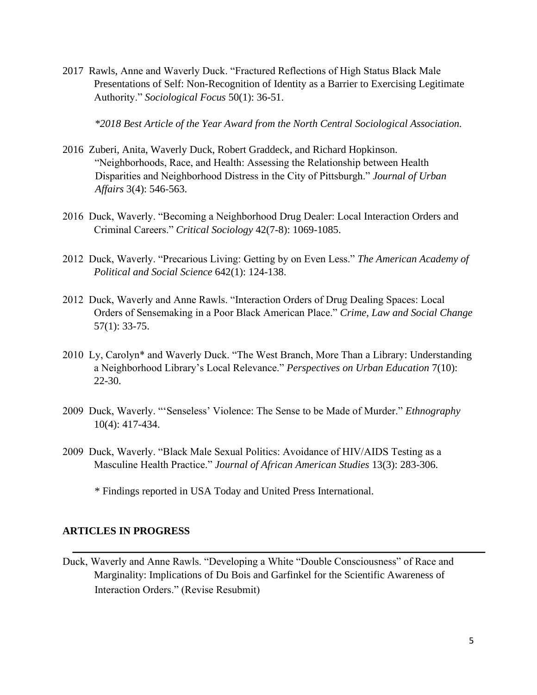2017 Rawls, Anne and Waverly Duck. "Fractured Reflections of High Status Black Male Presentations of Self: Non-Recognition of Identity as a Barrier to Exercising Legitimate Authority." *Sociological Focus* 50(1): 36-51.

*\*2018 Best Article of the Year Award from the North Central Sociological Association.* 

- 2016 Zuberi, Anita, Waverly Duck, Robert Graddeck, and Richard Hopkinson. "Neighborhoods, Race, and Health: Assessing the Relationship between Health Disparities and Neighborhood Distress in the City of Pittsburgh." *Journal of Urban Affairs* 3(4): 546-563.
- 2016 Duck, Waverly. "Becoming a Neighborhood Drug Dealer: Local Interaction Orders and Criminal Careers." *Critical Sociology* 42(7-8): 1069-1085.
- 2012 Duck, Waverly. "Precarious Living: Getting by on Even Less." *The American Academy of Political and Social Science* 642(1): 124-138.
- 2012 Duck, Waverly and Anne Rawls. "Interaction Orders of Drug Dealing Spaces: Local Orders of Sensemaking in a Poor Black American Place." *Crime, Law and Social Change* 57(1): 33-75.
- 2010 Ly, Carolyn\* and Waverly Duck. "The West Branch, More Than a Library: Understanding a Neighborhood Library's Local Relevance." *Perspectives on Urban Education* 7(10): 22-30.
- 2009 Duck, Waverly. "'Senseless' Violence: The Sense to be Made of Murder." *Ethnography* 10(4): 417-434.
- 2009 Duck, Waverly. "Black Male Sexual Politics: Avoidance of HIV/AIDS Testing as a Masculine Health Practice." *Journal of African American Studies* 13(3): 283-306.

\* Findings reported in USA Today and United Press International.

#### **ARTICLES IN PROGRESS**

Duck, Waverly and Anne Rawls. "Developing a White "Double Consciousness" of Race and Marginality: Implications of Du Bois and Garfinkel for the Scientific Awareness of Interaction Orders." (Revise Resubmit)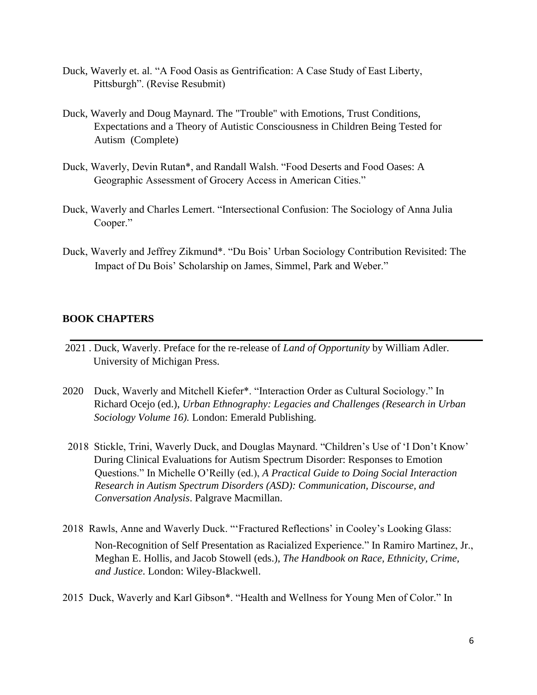- Duck, Waverly et. al. "A Food Oasis as Gentrification: A Case Study of East Liberty, Pittsburgh". (Revise Resubmit)
- Duck, Waverly and Doug Maynard. The "Trouble" with Emotions, Trust Conditions, Expectations and a Theory of Autistic Consciousness in Children Being Tested for Autism (Complete)
- Duck, Waverly, Devin Rutan\*, and Randall Walsh. "Food Deserts and Food Oases: A Geographic Assessment of Grocery Access in American Cities."
- Duck, Waverly and Charles Lemert. "Intersectional Confusion: The Sociology of Anna Julia Cooper."
- Duck, Waverly and Jeffrey Zikmund\*. "Du Bois' Urban Sociology Contribution Revisited: The Impact of Du Bois' Scholarship on James, Simmel, Park and Weber."

#### **BOOK CHAPTERS**

- 2021 . Duck, Waverly. Preface for the re-release of *Land of Opportunity* by William Adler. University of Michigan Press.
- 2020 Duck, Waverly and Mitchell Kiefer\*. "Interaction Order as Cultural Sociology." In Richard Ocejo (ed.), *Urban Ethnography: Legacies and Challenges (Research in Urban Sociology Volume 16).* London: Emerald Publishing.
- 2018 Stickle, Trini, Waverly Duck, and Douglas Maynard. "Children's Use of 'I Don't Know' During Clinical Evaluations for Autism Spectrum Disorder: Responses to Emotion Questions." In Michelle O'Reilly (ed.), *A Practical Guide to Doing Social Interaction Research in Autism Spectrum Disorders (ASD): Communication, Discourse, and Conversation Analysis*. Palgrave Macmillan.
- 2018 Rawls, Anne and Waverly Duck. "'Fractured Reflections' in Cooley's Looking Glass: Non-Recognition of Self Presentation as Racialized Experience." In Ramiro Martinez, Jr., Meghan E. Hollis, and Jacob Stowell (eds.), *The Handbook on Race, Ethnicity, Crime, and Justice*. London: Wiley-Blackwell.
- 2015 Duck, Waverly and Karl Gibson\*. "Health and Wellness for Young Men of Color." In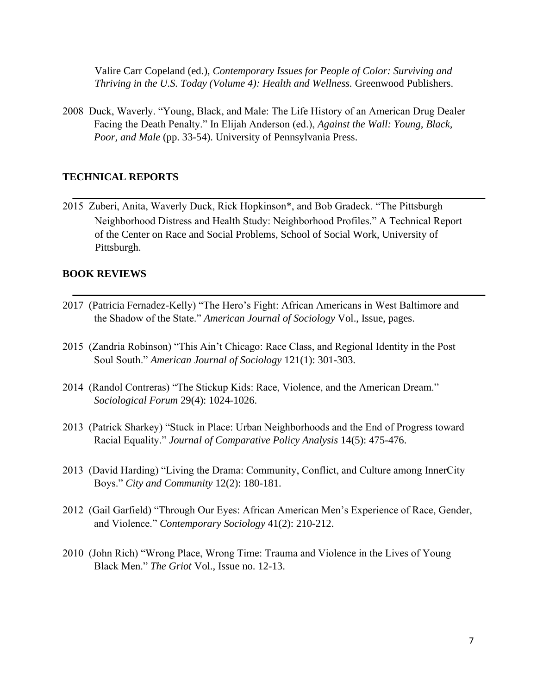Valire Carr Copeland (ed.), *Contemporary Issues for People of Color: Surviving and Thriving in the U.S. Today (Volume 4): Health and Wellness.* Greenwood Publishers.

2008 Duck, Waverly. "Young, Black, and Male: The Life History of an American Drug Dealer Facing the Death Penalty." In Elijah Anderson (ed.), *Against the Wall: Young, Black, Poor, and Male* (pp. 33-54). University of Pennsylvania Press.

#### **TECHNICAL REPORTS**

2015 Zuberi, Anita, Waverly Duck, Rick Hopkinson\*, and Bob Gradeck. "The Pittsburgh Neighborhood Distress and Health Study: Neighborhood Profiles." A Technical Report of the Center on Race and Social Problems, School of Social Work, University of Pittsburgh.

#### **BOOK REVIEWS**

- 2017 (Patricia Fernadez-Kelly) "The Hero's Fight: African Americans in West Baltimore and the Shadow of the State." *American Journal of Sociology* Vol., Issue, pages.
- 2015 (Zandria Robinson) "This Ain't Chicago: Race Class, and Regional Identity in the Post Soul South." *American Journal of Sociology* 121(1): 301-303.
- 2014 (Randol Contreras) "The Stickup Kids: Race, Violence, and the American Dream." *Sociological Forum* 29(4): 1024-1026.
- 2013 (Patrick Sharkey) "Stuck in Place: Urban Neighborhoods and the End of Progress toward Racial Equality." *Journal of Comparative Policy Analysis* 14(5): 475-476.
- 2013 (David Harding) "Living the Drama: Community, Conflict, and Culture among InnerCity Boys." *City and Community* 12(2): 180-181.
- 2012 (Gail Garfield) "Through Our Eyes: African American Men's Experience of Race, Gender, and Violence." *Contemporary Sociology* 41(2): 210-212.
- 2010 (John Rich) "Wrong Place, Wrong Time: Trauma and Violence in the Lives of Young Black Men." *The Griot* Vol., Issue no. 12-13.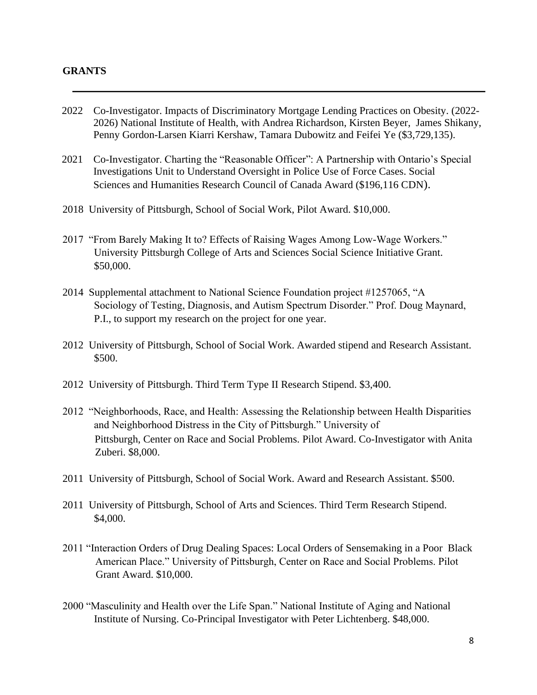#### **GRANTS**

- 2022 Co-Investigator. Impacts of Discriminatory Mortgage Lending Practices on Obesity. (2022- 2026) National Institute of Health, with Andrea Richardson, Kirsten Beyer, James Shikany, Penny Gordon-Larsen Kiarri Kershaw, Tamara Dubowitz and Feifei Ye (\$3,729,135).
- 2021 Co-Investigator. Charting the "Reasonable Officer": A Partnership with Ontario's Special Investigations Unit to Understand Oversight in Police Use of Force Cases. Social Sciences and Humanities Research Council of Canada Award (\$196,116 CDN).
- 2018 University of Pittsburgh, School of Social Work, Pilot Award. \$10,000.
- 2017 "From Barely Making It to? Effects of Raising Wages Among Low-Wage Workers." University Pittsburgh College of Arts and Sciences Social Science Initiative Grant. \$50,000.
- 2014 Supplemental attachment to National Science Foundation project #1257065, "A Sociology of Testing, Diagnosis, and Autism Spectrum Disorder." Prof. Doug Maynard, P.I., to support my research on the project for one year.
- 2012 University of Pittsburgh, School of Social Work. Awarded stipend and Research Assistant. \$500.
- 2012 University of Pittsburgh. Third Term Type II Research Stipend. \$3,400.
- 2012 "Neighborhoods, Race, and Health: Assessing the Relationship between Health Disparities and Neighborhood Distress in the City of Pittsburgh." University of Pittsburgh, Center on Race and Social Problems. Pilot Award. Co-Investigator with Anita Zuberi. \$8,000.
- 2011 University of Pittsburgh, School of Social Work. Award and Research Assistant. \$500.
- 2011 University of Pittsburgh, School of Arts and Sciences. Third Term Research Stipend. \$4,000.
- 2011 "Interaction Orders of Drug Dealing Spaces: Local Orders of Sensemaking in a Poor Black American Place." University of Pittsburgh, Center on Race and Social Problems. Pilot Grant Award. \$10,000.
- 2000 "Masculinity and Health over the Life Span." National Institute of Aging and National Institute of Nursing. Co-Principal Investigator with Peter Lichtenberg. \$48,000.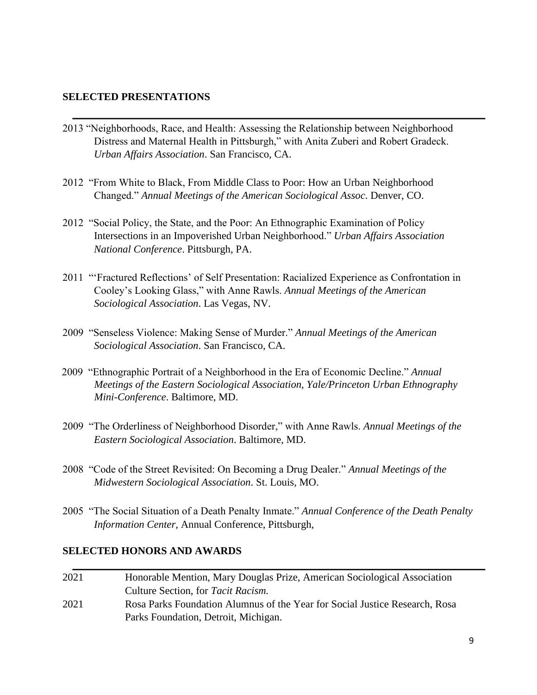#### **SELECTED PRESENTATIONS**

- 2013 "Neighborhoods, Race, and Health: Assessing the Relationship between Neighborhood Distress and Maternal Health in Pittsburgh," with Anita Zuberi and Robert Gradeck. *Urban Affairs Association*. San Francisco, CA.
- 2012 "From White to Black, From Middle Class to Poor: How an Urban Neighborhood Changed." *Annual Meetings of the American Sociological Assoc*. Denver, CO.
- 2012 "Social Policy, the State, and the Poor: An Ethnographic Examination of Policy Intersections in an Impoverished Urban Neighborhood." *Urban Affairs Association National Conference*. Pittsburgh, PA.
- 2011 "'Fractured Reflections' of Self Presentation: Racialized Experience as Confrontation in Cooley's Looking Glass," with Anne Rawls. *Annual Meetings of the American Sociological Association*. Las Vegas, NV.
- 2009 "Senseless Violence: Making Sense of Murder." *Annual Meetings of the American Sociological Association*. San Francisco, CA.
- 2009 "Ethnographic Portrait of a Neighborhood in the Era of Economic Decline." *Annual Meetings of the Eastern Sociological Association, Yale/Princeton Urban Ethnography Mini-Conference*. Baltimore, MD.
- 2009 "The Orderliness of Neighborhood Disorder," with Anne Rawls. *Annual Meetings of the Eastern Sociological Association*. Baltimore, MD.
- 2008 "Code of the Street Revisited: On Becoming a Drug Dealer." *Annual Meetings of the Midwestern Sociological Association*. St. Louis, MO.
- 2005 "The Social Situation of a Death Penalty Inmate." *Annual Conference of the Death Penalty Information Center,* Annual Conference, Pittsburgh,

#### **SELECTED HONORS AND AWARDS**

2021 Honorable Mention, Mary Douglas Prize, American Sociological Association Culture Section, for *Tacit Racism.*  2021 Rosa Parks Foundation Alumnus of the Year for Social Justice Research, Rosa Parks Foundation, Detroit, Michigan.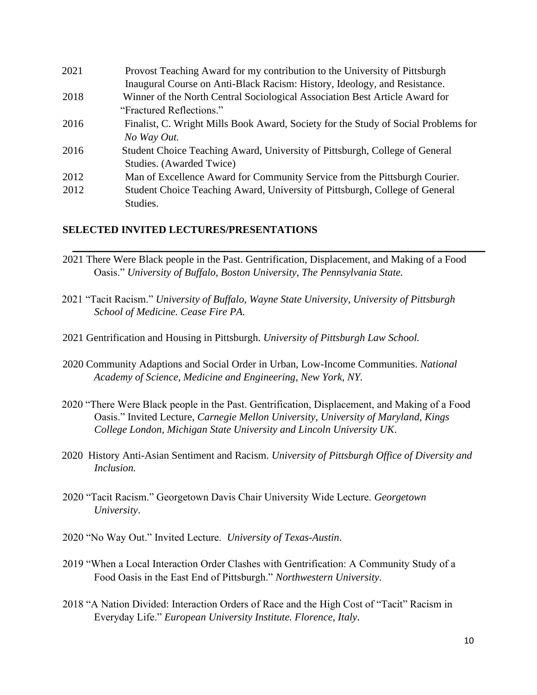| 2021 | Provost Teaching Award for my contribution to the University of Pittsburgh         |
|------|------------------------------------------------------------------------------------|
|      | Inaugural Course on Anti-Black Racism: History, Ideology, and Resistance.          |
| 2018 | Winner of the North Central Sociological Association Best Article Award for        |
|      | "Fractured Reflections."                                                           |
| 2016 | Finalist, C. Wright Mills Book Award, Society for the Study of Social Problems for |
|      | No Way Out.                                                                        |
| 2016 | Student Choice Teaching Award, University of Pittsburgh, College of General        |
|      | Studies. (Awarded Twice)                                                           |
| 2012 | Man of Excellence Award for Community Service from the Pittsburgh Courier.         |
| 2012 | Student Choice Teaching Award, University of Pittsburgh, College of General        |
|      | Studies.                                                                           |

#### **SELECTED INVITED LECTURES/PRESENTATIONS**

- 2021 There Were Black people in the Past. Gentrification, Displacement, and Making of a Food Oasis." *University of Buffalo, Boston University, The Pennsylvania State.*
- 2021 "Tacit Racism." *University of Buffalo, Wayne State University, University of Pittsburgh School of Medicine. Cease Fire PA.*
- 2021 Gentrification and Housing in Pittsburgh. *University of Pittsburgh Law School.*
- 2020 Community Adaptions and Social Order in Urban, Low-Income Communities. *National Academy of Science, Medicine and Engineering, New York, NY.*
- 2020 "There Were Black people in the Past. Gentrification, Displacement, and Making of a Food Oasis." Invited Lecture, *Carnegie Mellon University, University of Maryland, Kings College London, Michigan State University and Lincoln University UK*.
- 2020 History Anti-Asian Sentiment and Racism. *University of Pittsburgh Office of Diversity and Inclusion.*
- 2020 "Tacit Racism." Georgetown Davis Chair University Wide Lecture. *Georgetown University*.
- 2020 "No Way Out." Invited Lecture. *University of Texas-Austin*.
- 2019 "When a Local Interaction Order Clashes with Gentrification: A Community Study of a Food Oasis in the East End of Pittsburgh." *Northwestern University*.
- 2018 "A Nation Divided: Interaction Orders of Race and the High Cost of "Tacit" Racism in Everyday Life." *European University Institute. Florence, Italy*.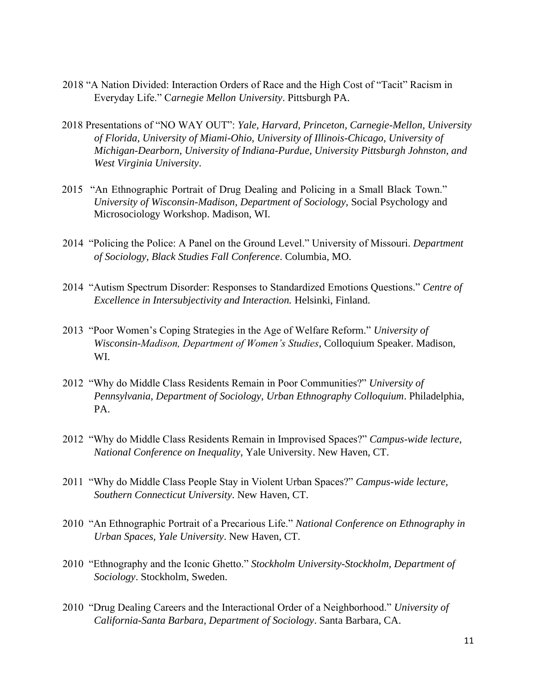- 2018 "A Nation Divided: Interaction Orders of Race and the High Cost of "Tacit" Racism in Everyday Life." C*arnegie Mellon University*. Pittsburgh PA.
- 2018 Presentations of "NO WAY OUT": *Yale, Harvard, Princeton, Carnegie-Mellon, University of Florida, University of Miami-Ohio, University of Illinois-Chicago, University of Michigan-Dearborn, University of Indiana-Purdue, University Pittsburgh Johnston, and West Virginia University*.
- 2015 "An Ethnographic Portrait of Drug Dealing and Policing in a Small Black Town." *University of Wisconsin-Madison, Department of Sociology*, Social Psychology and Microsociology Workshop. Madison, WI.
- 2014 "Policing the Police: A Panel on the Ground Level." University of Missouri. *Department of Sociology, Black Studies Fall Conference*. Columbia, MO.
- 2014 "Autism Spectrum Disorder: Responses to Standardized Emotions Questions." *Centre of Excellence in Intersubjectivity and Interaction.* Helsinki, Finland.
- 2013 "Poor Women's Coping Strategies in the Age of Welfare Reform." *University of Wisconsin-Madison, Department of Women's Studies*, Colloquium Speaker. Madison, WI.
- 2012 "Why do Middle Class Residents Remain in Poor Communities?" *University of Pennsylvania, Department of Sociology, Urban Ethnography Colloquium*. Philadelphia, PA.
- 2012 "Why do Middle Class Residents Remain in Improvised Spaces?" *Campus-wide lecture, National Conference on Inequality*, Yale University. New Haven, CT.
- 2011 "Why do Middle Class People Stay in Violent Urban Spaces?" *Campus-wide lecture, Southern Connecticut University*. New Haven, CT.
- 2010 "An Ethnographic Portrait of a Precarious Life." *National Conference on Ethnography in Urban Spaces, Yale University*. New Haven, CT.
- 2010 "Ethnography and the Iconic Ghetto." *Stockholm University-Stockholm, Department of Sociology*. Stockholm, Sweden.
- 2010 "Drug Dealing Careers and the Interactional Order of a Neighborhood." *University of California-Santa Barbara, Department of Sociology*. Santa Barbara, CA.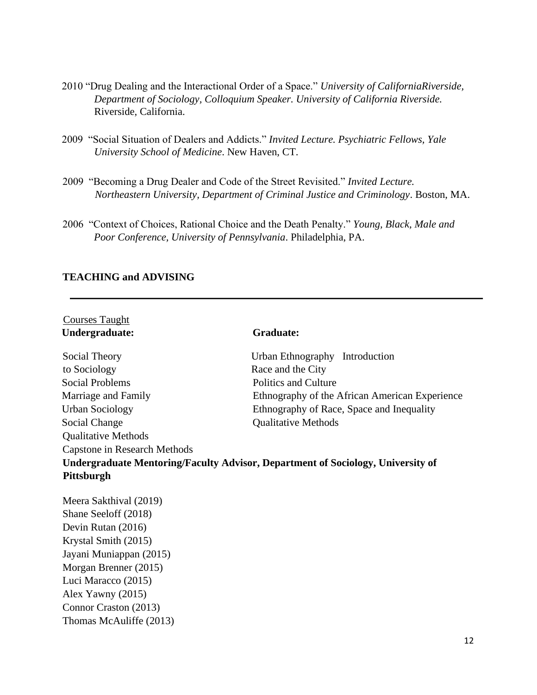- 2010 "Drug Dealing and the Interactional Order of a Space." *University of CaliforniaRiverside, Department of Sociology, Colloquium Speaker. University of California Riverside.*  Riverside, California.
- 2009 "Social Situation of Dealers and Addicts." *Invited Lecture. Psychiatric Fellows, Yale University School of Medicine*. New Haven, CT.
- 2009 "Becoming a Drug Dealer and Code of the Street Revisited." *Invited Lecture. Northeastern University, Department of Criminal Justice and Criminology*. Boston, MA.
- 2006 "Context of Choices, Rational Choice and the Death Penalty." *Young, Black, Male and Poor Conference, University of Pennsylvania*. Philadelphia, PA.

## **TEACHING and ADVISING**

| <b>Courses Taught</b>        |                                                                                 |
|------------------------------|---------------------------------------------------------------------------------|
| Undergraduate:               | <b>Graduate:</b>                                                                |
| Social Theory                | Urban Ethnography Introduction                                                  |
| to Sociology                 | Race and the City                                                               |
| <b>Social Problems</b>       | <b>Politics and Culture</b>                                                     |
| Marriage and Family          | Ethnography of the African American Experience                                  |
| <b>Urban Sociology</b>       | Ethnography of Race, Space and Inequality                                       |
| Social Change                | <b>Qualitative Methods</b>                                                      |
| <b>Qualitative Methods</b>   |                                                                                 |
| Capstone in Research Methods |                                                                                 |
|                              | Undergraduate Mentoring/Faculty Advisor, Department of Sociology, University of |
| Pittsburgh                   |                                                                                 |
| Meera Sakthival (2019)       |                                                                                 |
| Shane Seeloff (2018)         |                                                                                 |
| Devin Rutan (2016)           |                                                                                 |
| Krystal Smith (2015)         |                                                                                 |
| Jayani Muniappan (2015)      |                                                                                 |
| Morgan Brenner (2015)        |                                                                                 |
| Luci Maracco (2015)          |                                                                                 |
| Alex Yawny $(2015)$          |                                                                                 |
| Connor Craston (2013)        |                                                                                 |
| Thomas McAuliffe (2013)      |                                                                                 |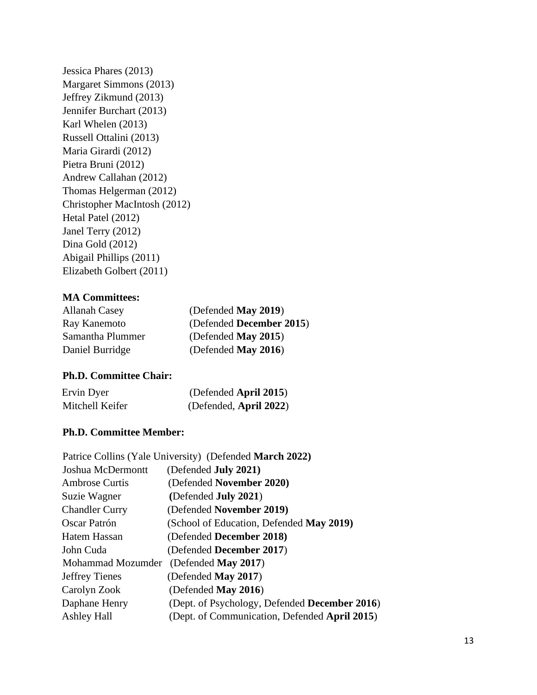Jessica Phares (2013) Margaret Simmons (2013) Jeffrey Zikmund (2013) Jennifer Burchart (2013) Karl Whelen (2013) Russell Ottalini (2013) Maria Girardi (2012) Pietra Bruni (2012) Andrew Callahan (2012) Thomas Helgerman (2012) Christopher MacIntosh (2012) Hetal Patel (2012) Janel Terry (2012) Dina Gold (2012) Abigail Phillips (2011) Elizabeth Golbert (2011)

#### **MA Committees:**

| <b>Allanah Casey</b> | (Defended May 2019)      |
|----------------------|--------------------------|
| Ray Kanemoto         | (Defended December 2015) |
| Samantha Plummer     | (Defended May 2015)      |
| Daniel Burridge      | (Defended May 2016)      |

#### **Ph.D. Committee Chair:**

| Ervin Dyer      | (Defended April 2015)  |
|-----------------|------------------------|
| Mitchell Keifer | (Defended, April 2022) |

#### **Ph.D. Committee Member:**

| Patrice Collins (Yale University) (Defended March 2022) |
|---------------------------------------------------------|
| (Defended July 2021)                                    |
| (Defended November 2020)                                |
| (Defended <b>July 2021</b> )                            |
| (Defended November 2019)                                |
| (School of Education, Defended May 2019)                |
| (Defended December 2018)                                |
| (Defended December 2017)                                |
| (Defended May 2017)                                     |
| (Defended May 2017)                                     |
| (Defended May 2016)                                     |
| (Dept. of Psychology, Defended December 2016)           |
| (Dept. of Communication, Defended April 2015)           |
|                                                         |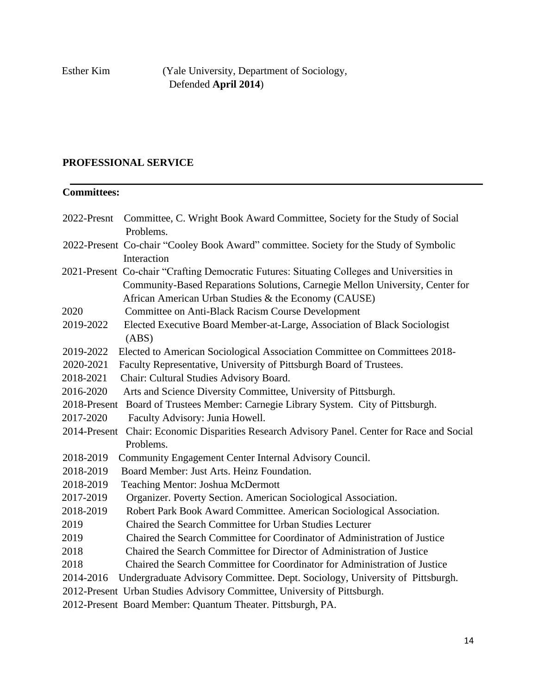Esther Kim (Yale University, Department of Sociology, Defended **April 2014**)

# **PROFESSIONAL SERVICE**

# **Committees:**

|              | 2022-Presnt Committee, C. Wright Book Award Committee, Society for the Study of Social<br>Problems.                                   |
|--------------|---------------------------------------------------------------------------------------------------------------------------------------|
|              | 2022-Present Co-chair "Cooley Book Award" committee. Society for the Study of Symbolic                                                |
|              | Interaction                                                                                                                           |
|              | 2021-Present Co-chair "Crafting Democratic Futures: Situating Colleges and Universities in                                            |
|              | Community-Based Reparations Solutions, Carnegie Mellon University, Center for<br>African American Urban Studies & the Economy (CAUSE) |
| 2020         | Committee on Anti-Black Racism Course Development                                                                                     |
| 2019-2022    |                                                                                                                                       |
|              | Elected Executive Board Member-at-Large, Association of Black Sociologist<br>(ABS)                                                    |
| 2019-2022    | Elected to American Sociological Association Committee on Committees 2018-                                                            |
| 2020-2021    | Faculty Representative, University of Pittsburgh Board of Trustees.                                                                   |
| 2018-2021    | Chair: Cultural Studies Advisory Board.                                                                                               |
| 2016-2020    | Arts and Science Diversity Committee, University of Pittsburgh.                                                                       |
| 2018-Present | Board of Trustees Member: Carnegie Library System. City of Pittsburgh.                                                                |
| 2017-2020    | Faculty Advisory: Junia Howell.                                                                                                       |
| 2014-Present | Chair: Economic Disparities Research Advisory Panel. Center for Race and Social                                                       |
|              | Problems.                                                                                                                             |
| 2018-2019    | Community Engagement Center Internal Advisory Council.                                                                                |
| 2018-2019    | Board Member: Just Arts. Heinz Foundation.                                                                                            |
| 2018-2019    | Teaching Mentor: Joshua McDermott                                                                                                     |
| 2017-2019    | Organizer. Poverty Section. American Sociological Association.                                                                        |
| 2018-2019    | Robert Park Book Award Committee. American Sociological Association.                                                                  |
| 2019         | Chaired the Search Committee for Urban Studies Lecturer                                                                               |
| 2019         | Chaired the Search Committee for Coordinator of Administration of Justice                                                             |
| 2018         | Chaired the Search Committee for Director of Administration of Justice                                                                |
| 2018         | Chaired the Search Committee for Coordinator for Administration of Justice                                                            |
| 2014-2016    | Undergraduate Advisory Committee. Dept. Sociology, University of Pittsburgh.                                                          |
|              | 2012-Present Urban Studies Advisory Committee, University of Pittsburgh.                                                              |
|              | 2012-Present Board Member: Quantum Theater. Pittsburgh, PA.                                                                           |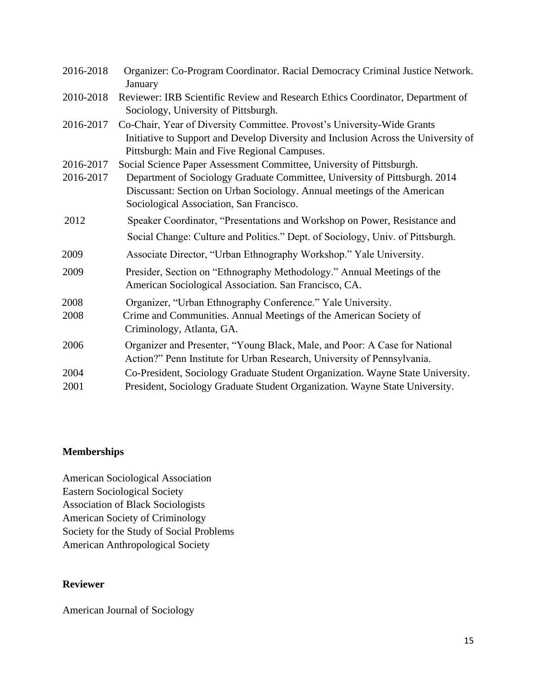| 2016-2018 | Organizer: Co-Program Coordinator. Racial Democracy Criminal Justice Network.<br>January                                                                                                                      |
|-----------|---------------------------------------------------------------------------------------------------------------------------------------------------------------------------------------------------------------|
| 2010-2018 | Reviewer: IRB Scientific Review and Research Ethics Coordinator, Department of<br>Sociology, University of Pittsburgh.                                                                                        |
| 2016-2017 | Co-Chair, Year of Diversity Committee. Provost's University-Wide Grants<br>Initiative to Support and Develop Diversity and Inclusion Across the University of<br>Pittsburgh: Main and Five Regional Campuses. |
| 2016-2017 | Social Science Paper Assessment Committee, University of Pittsburgh.                                                                                                                                          |
| 2016-2017 | Department of Sociology Graduate Committee, University of Pittsburgh. 2014<br>Discussant: Section on Urban Sociology. Annual meetings of the American<br>Sociological Association, San Francisco.             |
| 2012      | Speaker Coordinator, "Presentations and Workshop on Power, Resistance and                                                                                                                                     |
|           | Social Change: Culture and Politics." Dept. of Sociology, Univ. of Pittsburgh.                                                                                                                                |
| 2009      | Associate Director, "Urban Ethnography Workshop." Yale University.                                                                                                                                            |
| 2009      | Presider, Section on "Ethnography Methodology." Annual Meetings of the<br>American Sociological Association. San Francisco, CA.                                                                               |
| 2008      | Organizer, "Urban Ethnography Conference." Yale University.                                                                                                                                                   |
| 2008      | Crime and Communities. Annual Meetings of the American Society of<br>Criminology, Atlanta, GA.                                                                                                                |
| 2006      | Organizer and Presenter, "Young Black, Male, and Poor: A Case for National<br>Action?" Penn Institute for Urban Research, University of Pennsylvania.                                                         |
| 2004      | Co-President, Sociology Graduate Student Organization. Wayne State University.                                                                                                                                |
| 2001      | President, Sociology Graduate Student Organization. Wayne State University.                                                                                                                                   |

# **Memberships**

American Sociological Association Eastern Sociological Society Association of Black Sociologists American Society of Criminology Society for the Study of Social Problems American Anthropological Society

#### **Reviewer**

American Journal of Sociology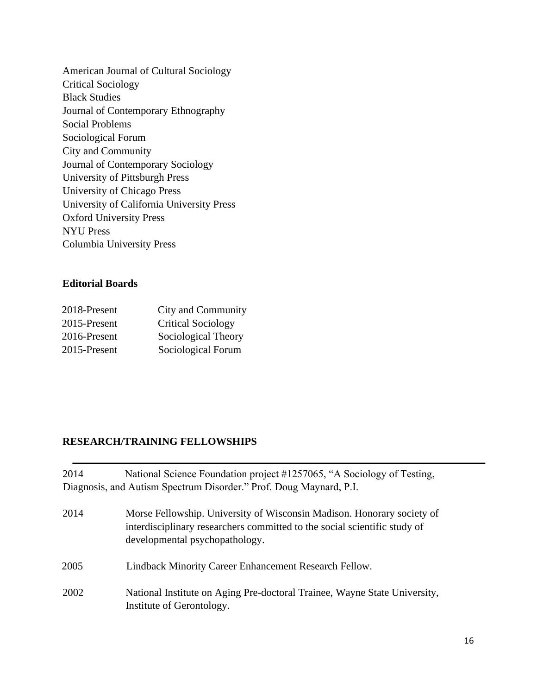American Journal of Cultural Sociology Critical Sociology Black Studies Journal of Contemporary Ethnography Social Problems Sociological Forum City and Community Journal of Contemporary Sociology University of Pittsburgh Press University of Chicago Press University of California University Press Oxford University Press NYU Press Columbia University Press

#### **Editorial Boards**

| 2018-Present | City and Community        |
|--------------|---------------------------|
| 2015-Present | <b>Critical Sociology</b> |
| 2016-Present | Sociological Theory       |
| 2015-Present | Sociological Forum        |

## **RESEARCH/TRAINING FELLOWSHIPS**

2014 National Science Foundation project #1257065, "A Sociology of Testing, Diagnosis, and Autism Spectrum Disorder." Prof. Doug Maynard, P.I.

- 2014 Morse Fellowship. University of Wisconsin Madison. Honorary society of interdisciplinary researchers committed to the social scientific study of developmental psychopathology. 2005 Lindback Minority Career Enhancement Research Fellow.
- 2002 National Institute on Aging Pre-doctoral Trainee, Wayne State University, Institute of Gerontology.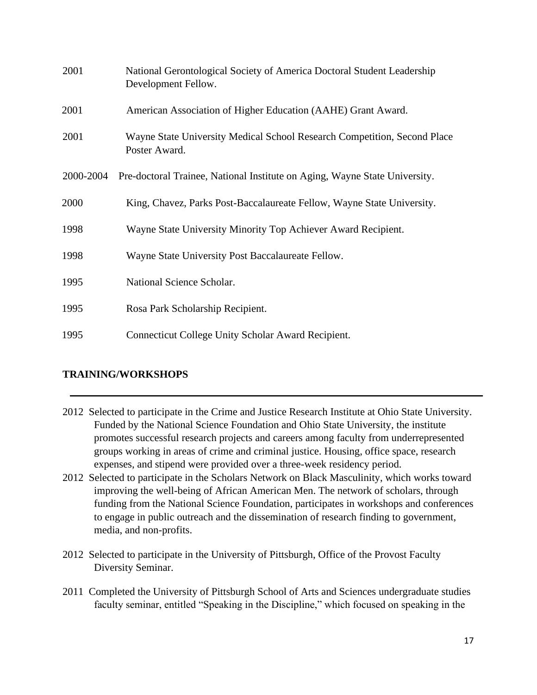| 2001      | National Gerontological Society of America Doctoral Student Leadership<br>Development Fellow. |
|-----------|-----------------------------------------------------------------------------------------------|
| 2001      | American Association of Higher Education (AAHE) Grant Award.                                  |
| 2001      | Wayne State University Medical School Research Competition, Second Place<br>Poster Award.     |
| 2000-2004 | Pre-doctoral Trainee, National Institute on Aging, Wayne State University.                    |
| 2000      | King, Chavez, Parks Post-Baccalaureate Fellow, Wayne State University.                        |
| 1998      | Wayne State University Minority Top Achiever Award Recipient.                                 |
| 1998      | Wayne State University Post Baccalaureate Fellow.                                             |
| 1995      | National Science Scholar.                                                                     |
| 1995      | Rosa Park Scholarship Recipient.                                                              |
| 1995      | Connecticut College Unity Scholar Award Recipient.                                            |

## **TRAINING/WORKSHOPS**

- 2012 Selected to participate in the Crime and Justice Research Institute at Ohio State University. Funded by the National Science Foundation and Ohio State University, the institute promotes successful research projects and careers among faculty from underrepresented groups working in areas of crime and criminal justice. Housing, office space, research expenses, and stipend were provided over a three-week residency period.
- 2012 Selected to participate in the Scholars Network on Black Masculinity, which works toward improving the well-being of African American Men. The network of scholars, through funding from the National Science Foundation, participates in workshops and conferences to engage in public outreach and the dissemination of research finding to government, media, and non-profits.
- 2012 Selected to participate in the University of Pittsburgh, Office of the Provost Faculty Diversity Seminar.
- 2011 Completed the University of Pittsburgh School of Arts and Sciences undergraduate studies faculty seminar, entitled "Speaking in the Discipline," which focused on speaking in the